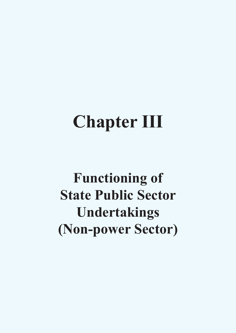# **Chapter III**

# **Functioning of State Public Sector Undertakings (Non-power Sector)**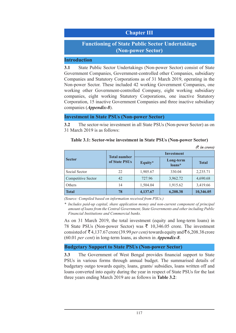# **Chapter III**

# **Functioning of State Public Sector Undertakings (Non-power Sector)**

#### **Introduction**

**3.1** State Public Sector Undertakings (Non-power Sector) consist of State Government Companies, Government-controlled other Companies, subsidiary Companies and Statutory Corporations as of 31 March 2019, operating in the Non-power Sector. These included 42 working Government Companies, one working other Government-controlled Company, eight working subsidiary companies, eight working Statutory Corporations, one inactive Statutory Corporation, 15 inactive Government Companies and three inactive subsidiary companies (*Appendix-8*).

#### **Investment in State PSUs (Non-power Sector)**

**3.2** The sector-wise investment in all State PSUs (Non-power Sector) as on 31 March 2019 is as follows:

#### **Table 3.1: Sector-wise investment in State PSUs (Non-power Sector)**

*(*` *in crore)*

|                    |                                      | <b>Investment</b> |                     |              |  |  |
|--------------------|--------------------------------------|-------------------|---------------------|--------------|--|--|
| <b>Sector</b>      | <b>Total number</b><br>of State PSUs | Equity*           | Long-term<br>loans* | <b>Total</b> |  |  |
| Social Sector      | 22                                   | 1,905.67          | 330.04              | 2,235.71     |  |  |
| Competitive Sector | 42                                   | 727.96            | 3,962.72            | 4,690.68     |  |  |
| Others             | 14                                   | 1,504.04          | 1,915.62            | 3,419.66     |  |  |
| <b>Total</b>       | 78                                   | 4,137.67          | 6,208.38            | 10,346.05    |  |  |

*(Source: Compiled based on information received from PSUs.)*

*\* Includes paid-up capital, share application money and non-current component of principal amount of loans from the Central Government, State Governments and other including Public Financial Institutions and Commercial banks.*

As on 31 March 2019, the total investment (equity and long-term loans) in 78 State PSUs (Non-power Sector) was  $\bar{\tau}$  10,346.05 crore. The investment consisted of  $\bar{\mathcal{F}}$  4,137.67 crore (39.99 *per cent*) towards equity and  $\bar{\mathcal{F}}$  6,208.38 crore (60.01 *per cent*) in long-term loans, as shown in *Appendix-8*.

#### **Budgetary Support to State PSUs (Non-power Sector)**

**3.3** The Government of West Bengal provides financial support to State PSUs in various forms through annual budget. The summarised details of budgetary outgo towards equity, loans, grants/ subsidies, loans written off and loans converted into equity during the year in respect of State PSUs for the last three years ending March 2019 are as follows in **Table 3.2**: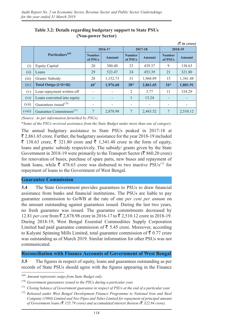|        |                                     |                          |               |                          |                          |                          | $(3 \nvert n \text{ error})$ |
|--------|-------------------------------------|--------------------------|---------------|--------------------------|--------------------------|--------------------------|------------------------------|
|        |                                     |                          | 2016-17       |                          | 2017-18                  | 2018-19                  |                              |
|        | Particulars <sup>169</sup>          | <b>Number</b><br>of PSUs | <b>Amount</b> | <b>Number</b><br>of PSUs | <b>Amount</b>            | <b>Number</b><br>of PSUs | <b>Amount</b>                |
| (i)    | <b>Equity Capital</b>               | 20                       | 300.40        | 23                       | 439.37                   | 9                        | 138.63                       |
| (11)   | Loans                               | 29                       | 523.47        | 24                       | 453.39                   | 21                       | 321.80                       |
| (iii)  | Grants/ Subsidy                     | 28                       | 1,152.73      | 31                       | 1,968.89                 | 15                       | 1,341.48                     |
| (iv)   | Total Outgo (i+ii+iii)              | $49^*$                   | 1,976.60      | $38*$                    | 2,861.65                 | $34*$                    | 1,801.91                     |
| (v)    | Loan repayment written off          | $\overline{\phantom{a}}$ |               | 2                        | 3.77                     | 11                       | 334.29                       |
| (vi)   | Loans converted into equity         |                          |               | 1                        | 13.24                    |                          |                              |
| (vii)  | Guarantees issued $170$             | $\overline{\phantom{a}}$ |               |                          | $\overline{\phantom{a}}$ |                          | -                            |
| (viii) | Guarantee Commitment <sup>171</sup> | 7                        | 2,878.98      | 7                        | 2,443.52                 | 7                        | 2,510.12                     |

## **Table 3.2: Details regarding budgetary support to State PSUs (Non-power Sector)**

*(Source: As per information furnished by PSUs)* 

\**Some of the PSUs received assistance from the State Budget under more than one of category.*

The annual budgetary assistance to State PSUs peaked in 2017-18 at  $\bar{\xi}$  2,861.65 crore. Further, the budgetary assistance for the year 2018-19 included  $\bar{\xi}$  138.63 crore,  $\bar{\xi}$  321.80 crore and  $\bar{\xi}$  1,341.48 crore in the form of equity, loans and grants/ subsidy respectively. The subsidy/ grants given by the State Government in 2018-19 were primarily to the Transport Sector ( $\bar{\mathfrak{F}}$  860.20 crore) for renovation of buses, purchase of spare parts, new buses and repayment of bank loans, while  $\bar{\tau}$  478.63 crore was disbursed to two inactive PSUs<sup>172</sup> for repayment of loans to the Government of West Bengal.

#### **Guarantee Commission**

**3.4** The State Government provides guarantees to PSUs to draw financial assistance from banks and financial institutions. The PSUs are liable to pay guarantee commission to GoWB at the rate of one *per cent per annum* on the amount outstanding against guarantees issued. During the last two years, no fresh guarantee was issued. The guarantee commitments decreased by 12.81 *per cent* from ₹ 2,878.98 crore in 2016-17 to ₹ 2,510.12 crore in 2018-19. During 2018-19, West Bengal Essential Commodities Supply Corporation Limited had paid guarantee commission of  $\bar{\bar{\xi}}$  5.45 crore. Moreover, according to Kalyani Spinning Mills Limited, total guarantee commission of  $\bar{\tau}$  0.77 crore was outstanding as of March 2019. Similar information for other PSUs was not communicated.

#### **Reconciliation with Finance Accounts of Government of West Bengal**

**3.5** The figures in respect of equity, loans and guarantees outstanding as per records of State PSUs should agree with the figures appearing in the Finance

<sup>169</sup> *Amount represents outgo from State Budget only.*

<sup>170</sup> *Government guarantees issued to the PSUs during a particular year.*

<sup>171</sup> *Closing balance of Government guarantee in respect of PSUs at the end of a particular year.*

<sup>172</sup> *Released under West Bengal Development Finance Programme to National Iron and Steel Company (1984) Limited and Neo Pipes and Tubes Limited for repayment of principal amount of Government loans (*` *155.79 crore) and accumulated interest thereon (*` *322.84 crore).*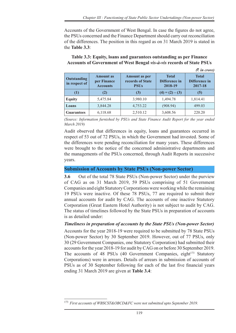Accounts of the Government of West Bengal. In case the figures do not agree, the PSUs concerned and the Finance Department should carry out reconciliation of the differences. The position in this regard as on 31 March 2019 is stated in the **Table 3.3**:

## **Table 3.3: Equity, loans and guarantees outstanding as per Finance Accounts of Government of West Bengal** *vis-à-vis* **records of State PSUs**

|                                     |                                                    |                                                         |                                          | $(3 \nvert n \text{ error})$             |
|-------------------------------------|----------------------------------------------------|---------------------------------------------------------|------------------------------------------|------------------------------------------|
| <b>Outstanding</b><br>in respect of | <b>Amount</b> as<br>per Finance<br><b>Accounts</b> | <b>Amount as per</b><br>records of State<br><b>PSUs</b> | <b>Total</b><br>Difference in<br>2018-19 | <b>Total</b><br>Difference in<br>2017-18 |
| (1)                                 | (2)                                                | (3)                                                     | $(4) = (2) - (3)$                        | (5)                                      |
| <b>Equity</b>                       | 5,475.84                                           | 3,980.10                                                | 1,494.78                                 | 1,814.41                                 |
| Loans                               | 3,844.28                                           | 4,753.22                                                | (908.94)                                 | 499.03                                   |
| <b>Guarantees</b>                   | 6,118.68                                           | 2,510.12                                                | 3,608.56                                 | 220.20                                   |

*(Source: Information furnished by PSUs and State Finance Audit Report for the year ended March 2019)*

Audit observed that differences in equity, loans and guarantees occurred in respect of 53 out of 72 PSUs, in which the Government had invested. Some of the differences were pending reconciliation for many years. These differences were brought to the notice of the concerned administrative departments and the managements of the PSUs concerned, through Audit Reports in successive years.

## **Submission of Accounts by State PSUs (Non-power Sector)**

**3.6** Out of the total 78 State PSUs (Non-power Sector) under the purview of CAG as on 31 March 2019, 59 PSUs comprising of 51 Government Companies and eight Statutory Corporations were working while the remaining 19 PSUs were inactive. Of these 78 PSUs, 77 are required to submit their annual accounts for audit by CAG. The accounts of one inactive Statutory Corporation (Great Eastern Hotel Authority) is not subject to audit by CAG. The status of timelines followed by the State PSUs in preparation of accounts is as detailed under:

## *Timeliness in preparation of accounts by the State PSUs (Non-power Sector)*

Accounts for the year 2018-19 were required to be submitted by 78 State PSUs (Non-power Sector) by 30 September 2019. However, out of 77 PSUs, only 30 (29 Government Companies, one Statutory Corporation) had submitted their accounts for the year 2018-19 for audit by CAG on or before 30 September 2019. The accounts of 48 PSUs  $(40 \text{ Government Companies}, eight^{173} \text{Statutory})$ Corporations) were in arrears. Details of arrears in submission of accounts of PSUs as of 30 September following for each of the last five financial years ending 31 March 2019 are given at **Table 3.4**:

<sup>173</sup> *First accounts of WBSCST&OBCD&FC were not submitted upto September 2019.*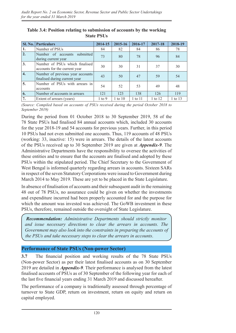| <b>Sl. No.</b>   | <b>Particulars</b>                                                | 2014-15    | 2015-16     | 2016-17 | 2017-18 | 2018-19 |
|------------------|-------------------------------------------------------------------|------------|-------------|---------|---------|---------|
| 1.               | Number of PSUs                                                    | 84         | 82          | 84      | 86      | 78      |
| $\overline{2}$ . | Number of accounts<br>submitted<br>during current year            | 73         | 80          | 78      | 96      | 84      |
| 3.               | Number of PSUs which finalised<br>accounts for the current year   | 30         | 30          | 31      | 37      | 30      |
| 4.               | Number of previous year accounts<br>finalised during current year | 43         | 50          | 47      | 59      | 54      |
| 5.               | Number of PSUs with arrears in<br>accounts                        | 54         | 52          | 53      | 49      | 48      |
| 6.               | Number of accounts in arrears                                     | 121        | 123         | 138     | 126     | 119     |
| 7.               | Extent of arrears (years)                                         | $1$ to $9$ | $1$ to $10$ | 1 to 11 | 1 to 12 | 1 to 13 |

**Table 3.4: Position relating to submission of accounts by the working State PSUs**

*(Source: Compiled based on accounts of PSUs received during the period October 2018 to September 2019)*

During the period from 01 October 2018 to 30 September 2019, 58 of the 78 State PSUs had finalised 84 annual accounts which, included 30 accounts for the year 2018-19 and 54 accounts for previous years. Further, in this period 10 PSUs had not even submitted one accounts. Thus, 119 accounts of 48 PSUs (working: 33, inactive: 15) were in arrears. The details of the latest accounts of the PSUs received up to 30 September 2019 are given at *Appendix-9*. The Administrative Departments have the responsibility to oversee the activities of these entities and to ensure that the accounts are finalised and adopted by these PSUs within the stipulated period. The Chief Secretary to the Government of West Bengal is informed quarterly regarding arrears in accounts. Sixteen SARs in respect of the seven Statutory Corporations were issued to Government during March 2014 to May 2019. These are yet to be placed in the State Legislature.

In absence of finalisation of accounts and their subsequent audit in the remaining 48 out of 78 PSUs, no assurance could be given on whether the investments and expenditure incurred had been properly accounted for and the purpose for which the amount was invested was achieved. The GoWB investment in these PSUs, therefore, remained outside the oversight of State Legislature.

*Recommendation: Administrative Departments should strictly monitor and issue necessary directions to clear the arrears in accounts. The Government may also look into the constraints in preparing the accounts of the PSUs and take necessary steps to clear the arrears in accounts*.

## **Performance of State PSUs (Non-power Sector)**

**3.7** The financial position and working results of the 78 State PSUs (Non-power Sector) as per their latest finalised accounts as on 30 September 2019 are detailed in *Appendix-9.* Their performance is analysed from the latest finalised accounts of PSUs as of 30 September of the following year for each of the last five financial years ending 31 March 2019 and discussed hereafter.

The performance of a company is traditionally assessed through percentage of turnover to State GDP, return on investment, return on equity and return on capital employed.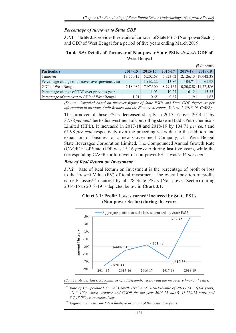## *Percentage of turnover to State GDP*

**3.7.1 Table 3.5** provides the details of turnover of State PSUs (Non-power Sector) and GDP of West Bengal for a period of five years ending March 2019:

#### **Table 3.5: Details of Turnover of Non-power State PSUs** *vis-à-vis* **GDP of West Bengal**

|                                                  |           |             |          |         | $(3 \nvert n \text{ error})$ |
|--------------------------------------------------|-----------|-------------|----------|---------|------------------------------|
| <b>Particulars</b>                               | 2014-15   | 2015-16     | 2016-17  | 2017-18 | 2018-19                      |
| Turnover                                         | 13,770.12 | 5,202.68    | 5,923.62 |         | $12,126.13$   19,642.38      |
| Percentage change of turnover over previous year |           | $(-) 62.22$ | 13.86    | 104.71  | 61.98                        |
| GDP of West Bengal                               | 7,18,082  | 7.97.300    | 8.79.167 |         | $10,20,858$   11,77,586      |
| Percentage change of GDP over previous year      |           | 11.03       | 10.27    | 16.12   | 15.35                        |
| Percentage of turnover to GDP of West Bengal     | 1.91      | 0.65        | 0.67     | 119     | 1.67                         |

*(Source: Compiled based on turnover figures of State PSUs and State GDP figures as per information in previous Audit Reports and the Finance Accounts, Volume‑I, 2018‑19, GoWB)*

The turnover of these PSUs decreased sharply in 2015-16 over 2014-15 by 37.78 *per cent* due to disinvestment of controlling stake in Haldia Petrochemicals Limited (HPL). It increased in 2017-18 and 2018-19 by 104.71 *per cent* and 61.98 *per cent* respectively over the preceding years due to the addition and expansion of business of a new Government Company, *viz.* West Bengal State Beverages Corporation Limited. The Compounded Annual Growth Rate (CAGR)174 of State GDP was 13.16 *per cent* during last five years, while the corresponding CAGR for turnover of non-power PSUs was 9.34 *per cent*.

### *Rate of Real Return on Investment*

**3.7.2** Rate of Real Return on Investment is the percentage of profit or loss to the Present Value (PV) of total investment. The overall position of profits earned/ losses<sup>175</sup> incurred by all 78 State PSUs (Non-power Sector) during 2014-15 to 2018-19 is depicted below in **Chart 3.1**:



**Chart 3.1: Profit/ Losses earned/ incurred by State PSUs (Non-power Sector) during the years**

*(Source: As per latest Accounts as of 30 September following the respective financial years)*

<sup>174</sup> Rate of Compounded Annual Growth ((value of 2018-19/value of 2014-15)  $\land$  ((1/4 years) *a -1)*  $*$  *100) where turnover and GSDP for the year 2014-15 was* ₹ *13,770.12 crore and* ` *7,18,082 crore respectively.*

<sup>175</sup> *Figures are as per the latest finalised accounts of the respective years.*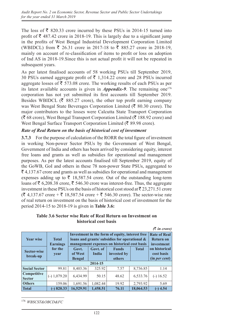The loss of  $\bar{\bar{\xi}}$  820.33 crore incurred by these PSUs in 2014-15 turned into profit of  $\bar{\tau}$  487.42 crore in 2018-19. This is largely due to a significant jump in the profits of West Bengal Industrial Development Corporation Limited (WBIDCL) from ₹ 26.31 crore in 2017-18 to ₹ 885.27 crore in 2018-19, mainly on account of re-classification of items to profit or loss on adoption of Ind AS in 2018‑19.Since this is not actual profit it will not be repeated in subsequent years.

As per latest finalised accounts of 58 working PSUs till September 2019, 30 PSUs earned aggregate profit of  $\bar{\tau}$  1,314.22 crore and 28 PSUs incurred aggregate losses of  $\bar{\bar{\xi}}$  573.08 crore. The working results of each PSUs as per its latest available accounts is given in *Appendix-9*. The remaining one<sup>176</sup> corporation has not yet submitted its first accounts till September 2019. Besides WBIDCL ( $\bar{\mathcal{R}}$  885.27 crore), the other top profit earning company was West Bengal State Beverages Corporation Limited ( $\bar{\tau}$  80.30 crore). The major contributors to the losses were Calcutta State Transport Corporation  $(\bar{\mathbf{\mathcal{R}}} 68 \text{ crore})$ , West Bengal Transport Corporation Limited ( $\bar{\mathbf{\mathcal{R}}} 188.92$  crore) and West Bengal Surface Transport Corporation Limited ( $\bar{\epsilon}$  89.98 crore).

#### *Rate of Real Return on the basis of historical cost of investment*

**3.7.3** For the purpose of calculation of the RORR the total figure of investment in working Non-power Sector PSUs by the Government of West Bengal, Government of India and others has been arrived by considering equity, interest free loans and grants as well as subsidies for operational and management purposes. As per the latest accounts finalised till September 2019, equity of the GoWB, GoI and others in these 78 non-power State PSUs, aggregated to  $\bar{\xi}$  4,137.67 crore and grants as well as subsidies for operational and management expenses adding up to  $\bar{\tau}$  18,587.54 crore. Out of the outstanding long-term loans of  $\bar{\tau}$  6,208.38 crore,  $\bar{\tau}$  546.30 crore was interest-free. Thus, the aggregate investment in these PSUs on the basis of historical cost stood at  $\bar{\tau}$  23,271.51 crore  $({\bar$ E 4,137.67 crore +  $\bar{\bar{}}$  18,587.54 crore +  $\bar{\bar{}}$  546.30 crore). The sector-wise rate of real return on investment on the basis of historical cost of investment for the period 2014-15 to 2018-19 is given in **Table 3.6:**

**Table 3.6 Sector wise Rate of Real Return on Investment on historical cost basis**

|                                     |                                 |                                   |                                                                                                                                                  |                                       |              | $(3 \nvert n \nvert c)$                      |  |  |
|-------------------------------------|---------------------------------|-----------------------------------|--------------------------------------------------------------------------------------------------------------------------------------------------|---------------------------------------|--------------|----------------------------------------------|--|--|
| <b>Year wise</b>                    | <b>Total</b><br><b>Earnings</b> |                                   | Investment in the form of equity, interest free<br>loans and grants/ subsidies for operational &<br>management expenses on historical cost basis |                                       |              |                                              |  |  |
| <b>Sector-wise</b><br>break-up      | for the<br>year                 | Govt.<br>of West<br><b>Bengal</b> | Govt. of<br>India                                                                                                                                | <b>Funds</b><br>invested by<br>others | <b>Total</b> | on historical<br>cost basis<br>(in per cent) |  |  |
|                                     |                                 |                                   | 2014-15                                                                                                                                          |                                       |              |                                              |  |  |
| <b>Social Sector</b>                | 99.81                           | 8,403.36                          | 325.92                                                                                                                                           | 7.57                                  | 8,736.85     | 1.14                                         |  |  |
| <b>Competitive</b><br><b>Sector</b> | $(-) 1,079.20$                  | 6,434.99                          | 50.15                                                                                                                                            | 48.62                                 | 6,533.76     | $(-) 16.52$                                  |  |  |
| <b>Others</b>                       | 159.06                          | 1,691.56                          | 1,082.44                                                                                                                                         | 19.92                                 | 2,793.92     | 5.69                                         |  |  |
| <b>Total</b>                        | 820.33<br>$(-)$                 | 16,529.91                         | 1,458.51                                                                                                                                         | 76.11                                 | 18,064.53    | (-) 4.54                                     |  |  |

<sup>176</sup> *WBSCST&OBCD&FC*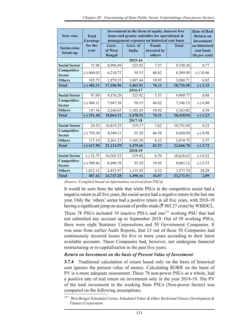| <b>Year wise</b>               | <b>Total</b><br><b>Earnings</b> | Investment in the form of equity, interest free<br>loans and grants/ subsidies for operational &<br>management expenses on historical cost basis | <b>Rate of Real</b><br><b>Return on</b><br>investment |                                       |              |                                              |
|--------------------------------|---------------------------------|--------------------------------------------------------------------------------------------------------------------------------------------------|-------------------------------------------------------|---------------------------------------|--------------|----------------------------------------------|
| <b>Sector-wise</b><br>break-up | for the<br>year                 | Govt.<br>of West<br><b>Bengal</b>                                                                                                                | Govt. of<br><b>India</b>                              | <b>Funds</b><br>invested by<br>others | <b>Total</b> | on historical<br>cost basis<br>(in per cent) |
|                                |                                 |                                                                                                                                                  | 2015-16                                               |                                       |              |                                              |
| <b>Social Sector</b>           | 71.98                           | 8,996.89                                                                                                                                         | 325.92                                                | 7.57                                  | 9,330.38     | 0.77                                         |
| Competitive<br><b>Sector</b>   | $(-) 660.02$                    | 6,210.72                                                                                                                                         | 50.15                                                 | 48.62                                 | 6,309.49     | $(-) 10.46$                                  |
| <b>Others</b>                  | 185.73                          | 1,979.35                                                                                                                                         | 1,087.44                                              | 19.92                                 | 3,086.71     | 6.02                                         |
| <b>Total</b>                   | 402.31<br>$(-)$                 | 17,186.96                                                                                                                                        | 1,463.51                                              | 76.11                                 | 18,726.58    | $(-) 2.15$                                   |
|                                |                                 |                                                                                                                                                  | 2016-17                                               |                                       |              |                                              |
| <b>Social Sector</b>           | 87.09                           | 9,576.28                                                                                                                                         | 325.92                                                | 7.57                                  | 9,909.77     | 0.88                                         |
| Competitive<br><b>Sector</b>   | $(-)$ 486.11                    | 7,047.38                                                                                                                                         | 50.15                                                 | 48.62                                 | 7,146.15     | $(-) 6.80$                                   |
| <b>Others</b>                  | 147.54                          | 2,240.65                                                                                                                                         | 1,102.45                                              | 19.92                                 | 3,363.02     | 4.39                                         |
| <b>Total</b>                   | 251.48<br>$(-)$                 | 18,864.31                                                                                                                                        | 1,478.52                                              | 76.11                                 | 20,418.94    | $(-) 1.23$                                   |
|                                |                                 |                                                                                                                                                  | 2017-18                                               |                                       |              |                                              |
| <b>Social Sector</b>           | 24.53                           | 10,414.25                                                                                                                                        | 319.17                                                | 7.62                                  | 10,741.04    | 0.23                                         |
| Competitive<br><b>Sector</b>   | $(-) 759.30$                    | 8,349.11                                                                                                                                         | 55.29                                                 | 46.59                                 | 8,450.99     | $(-) 8.98$                                   |
| <b>Others</b>                  | 117.19                          | 2,361.23                                                                                                                                         | 1,105.20                                              | 8.32                                  | 3,474.75     | 3.37                                         |
| <b>Total</b>                   | $(-)$ 617.58                    | 21,124.59                                                                                                                                        | 1,479.66                                              | 62.53                                 | 22,666.78    | $(-) 2.72$                                   |
|                                |                                 |                                                                                                                                                  | 2018-19                                               |                                       |              |                                              |
| <b>Social Sector</b>           | $(-) 23.75$                     | 10,302.53                                                                                                                                        | 319.42                                                | 6.70                                  | 10,628.65    | $(-) 0.22$                                   |
| Competitive<br><b>Sector</b>   | $(-)$ 500.96                    | 8,990.78                                                                                                                                         | 55.29                                                 | 19.05                                 | 9,065.12     | $(-) 5.53$                                   |
| <b>Others</b>                  | 1,012.13                        | 2,453.97                                                                                                                                         | 1,115.45                                              | 8.32                                  | 3,577.74     | 28.29                                        |
| <b>Total</b>                   | 487.42                          | 24,747.28                                                                                                                                        | 1,490.16                                              | 34.07                                 | 23,271.51    | 2.09                                         |

*(Source: Compiled based on information received from PSUs)*

It would be seen from the table that while PSUs in the competitive sector had a negative return in all five years, the social sector had a negative return in the last one year. Only the 'others' sector had a positive return in all five years, with 2018-19 having a significant jump on account of profits made ( $\bar{\mathcal{R}}$  885.27 crore) by WBIDCL.

These 78 PSUs included 19 inactive PSUs and one<sup>177</sup> working PSU that had not submitted any account up to September 2019. Out of 58 working PSUs, there were eight Statutory Corporations and 50 Government Companies. It was seen from earlier Audit Reports, that 13 out of these 50 Companies had continuously incurred losses for five or more years according to their latest available accounts. These Companies had, however, not undergone financial restructuring or re-capitalisation in the past five years.

#### *Return on Investment on the basis of Present Value of Investment*

**3.7.4** Traditional calculation of return based only on the basis of historical cost ignores the present value of money. Calculating RORR on the basis of PV is a more adequate assessment. These 78 non-power PSUs as a whole, had a positive rate of real return on investment only in the year 2018-19. The PV of the total investment in the working State PSUs (Non-power Sector) was computed on the following assumptions:

<sup>177</sup> *West Bengal Scheduled Castes, Scheduled Tribes & Other Backward Classes Development & Finance Corporation*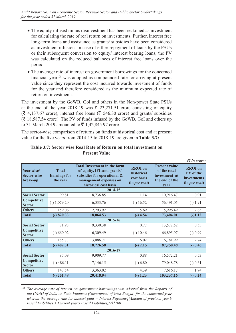- The equity infused minus disinvestment has been reckoned as investment for calculating the rate of real return on investments. Further, interest free long-term loans and assistance as grants/ subsidies have been considered as investment infusion. In case of either repayment of loans by the PSUs or their subsequent conversion to equity/ interest bearing loans, the PV was calculated on the reduced balances of interest free loans over the period.
- The average rate of interest on government borrowings for the concerned financial year<sup>178</sup> was adopted as compounded rate for arriving at present value since they represent the cost incurred towards investment of funds for the year and therefore considered as the minimum expected rate of return on investments.

The investment by the GoWB, GoI and others in the Non-power State PSUs at the end of the year 2018-19 was  $\bar{\tau}$  23,271.51 crore consisting of equity  $(\bar{\mathcal{F}}$  4,137.67 crore), interest free loans ( $\bar{\mathcal{F}}$  546.30 crore) and grants/ subsidies  $(\bar{\mathcal{F}}$  18,587.54 crore). The PV of funds infused by the GoWB, GoI and others up to 31 March 2019 amounted to  $\bar{z}$  1,42,845.97 crore.

The sector-wise comparison of returns on funds at historical cost and at present value for the five years from 2014-15 to 2018‑19 are given in **Table 3.7:**

|                                              |                                                 |                                                                                                                                                     |                                                             |                                                                                 | $(3 \nvert n \text{ core})$                                        |
|----------------------------------------------|-------------------------------------------------|-----------------------------------------------------------------------------------------------------------------------------------------------------|-------------------------------------------------------------|---------------------------------------------------------------------------------|--------------------------------------------------------------------|
| Year wise/<br><b>Sector-wise</b><br>break-up | <b>Total</b><br><b>Earnings for</b><br>the year | <b>Total Investment in the form</b><br>of equity, IFL and grants/<br>subsidies for operational &<br>management expenses on<br>historical cost basis | <b>RROI</b> on<br>historical<br>cost basis<br>(in per cent) | <b>Present value</b><br>of the total<br>investment at<br>the end of the<br>vear | <b>RROI</b> on<br>PV of the<br><i>investments</i><br>(in per cent) |
|                                              |                                                 | 2014-15                                                                                                                                             |                                                             |                                                                                 |                                                                    |
| <b>Social Sector</b>                         | 99.81                                           | 8,736.85                                                                                                                                            | 1.14                                                        | 10,916.47                                                                       | 0.91                                                               |
| Competitive<br><b>Sector</b>                 | $(-) 1,079.20$                                  | 6,533.76                                                                                                                                            | $(-) 16.52$                                                 | 56,491.05                                                                       | $(-) 1.91$                                                         |
| <b>Others</b>                                | 159.06                                          | 2,793.92                                                                                                                                            | 5.69                                                        | 5,996.49                                                                        | 2.65                                                               |
| <b>Total</b>                                 | 820.33<br>$(-)$                                 | 18,064.53                                                                                                                                           | $(-)$ 4.54                                                  | 73,404.01                                                                       | $(-)1.12$                                                          |
|                                              |                                                 | 2015-16                                                                                                                                             |                                                             |                                                                                 |                                                                    |
| <b>Social Sector</b>                         | 71.98                                           | 9,330.38                                                                                                                                            | 0.77                                                        | 13,572.52                                                                       | 0.53                                                               |
| Competitive<br><b>Sector</b>                 | $(-) 660.02$                                    | 6,309.49                                                                                                                                            | $(-) 10.46$                                                 | 66,895.97                                                                       | $(-) 0.99$                                                         |
| <b>Others</b>                                | 185.73                                          | 3,086.71                                                                                                                                            | 6.02                                                        | 6,781.99                                                                        | 2.74                                                               |
| <b>Total</b>                                 | $(-)$ 402.31                                    | 18,726.58                                                                                                                                           | $(-) 2.15$                                                  | 87,250.48                                                                       | $(-) 0.46$                                                         |
|                                              |                                                 | 2016-17                                                                                                                                             |                                                             |                                                                                 |                                                                    |
| <b>Social Sector</b>                         | 87.09                                           | 9,909.77                                                                                                                                            | 0.88                                                        | 16,572.21                                                                       | 0.53                                                               |
| Competitive<br><b>Sector</b>                 | $(-)$ 486.11                                    | 7,146.15                                                                                                                                            | $(-) 6.80$                                                  | 79,048.78                                                                       | $(-) 0.61$                                                         |
| <b>Others</b>                                | 147.54                                          | 3,363.02                                                                                                                                            | 4.39                                                        | 7,616.17                                                                        | 1.94                                                               |
| <b>Total</b>                                 | 251.48<br>$(-)$                                 | 20,418.94                                                                                                                                           | $(-) 1.23$                                                  | 103,237.16                                                                      | $(-) 0.24$                                                         |

#### **Table 3.7: Sector wise Real Rate of Return on total investment on Present Value**

<sup>&</sup>lt;sup>178</sup> *The average rate of interest on government borrowings was adopted from the Reports of the C&AG of India on State Finances (Government of West Bengal) for the concerned year wherein the average rate for interest paid = Interest Payment/[(Amount of previous year's Fiscal Liabilities + Current year's Fiscal Liabilities)/2]\*100.*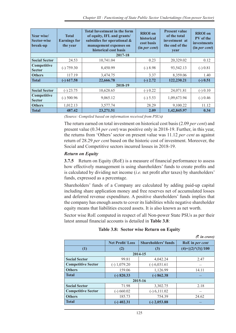| Year wise/<br><b>Sector-wise</b><br>break-up | <b>Total</b><br><b>Earnings for</b><br>the year | <b>Total Investment in the form</b><br>of equity, IFL and grants/<br>subsidies for operational &<br>management expenses on<br>historical cost basis | <b>RROI</b> on<br>historical<br>cost basis<br>(in per cent) | <b>Present value</b><br>of the total<br>investment at<br>the end of the<br>year | <b>RROI</b> on<br>PV of the<br>investments<br>(in <i>per cent</i> ) |
|----------------------------------------------|-------------------------------------------------|-----------------------------------------------------------------------------------------------------------------------------------------------------|-------------------------------------------------------------|---------------------------------------------------------------------------------|---------------------------------------------------------------------|
|                                              |                                                 | 2017-18                                                                                                                                             |                                                             |                                                                                 |                                                                     |
| <b>Social Sector</b>                         | 24.53                                           | 10,741.04                                                                                                                                           | 0.23                                                        | 20,329.02                                                                       | 0.12                                                                |
| Competitive<br><b>Sector</b>                 | $(-) 759.30$                                    | 8,450.99                                                                                                                                            | $(-) 8.98$                                                  | 93,542.13                                                                       | $(-) 0.81$                                                          |
| <b>Others</b>                                | 117.19                                          | 3,474.75                                                                                                                                            | 3.37                                                        | 8,359.06                                                                        | 1.40                                                                |
| <b>Total</b>                                 | $(-)$ 617.58                                    | 22,666.78                                                                                                                                           | $(-) 2.72$                                                  | 122,230.21                                                                      | $(-) 0.51$                                                          |
|                                              |                                                 | 2018-19                                                                                                                                             |                                                             |                                                                                 |                                                                     |
| <b>Social Sector</b>                         | $(-) 23.75$                                     | 10,628.65                                                                                                                                           | $(-) 0.22$                                                  | 24,071.81                                                                       | $(-) 0.10$                                                          |
| Competitive<br><b>Sector</b>                 | $(-)$ 500.96                                    | 9,065.12                                                                                                                                            | $(-) 5.53$                                                  | 1,09,673.94                                                                     | $(-) 0.46$                                                          |
| <b>Others</b>                                | 1,012.13                                        | 3,577.74                                                                                                                                            | 28.29                                                       | 9,100.22                                                                        | 11.12                                                               |
| <b>Total</b>                                 | 487.42                                          | 23,271.51                                                                                                                                           | 2.09                                                        | 1,42,845.97                                                                     | 0.34                                                                |

*(Source: Compiled based on information received from PSUs)*

The return earned on total investment on historical cost basis (2.09 *per cent*) and present value (0.34 *per cent*) was positive only in 2018-19. Further, in this year, the returns from 'Others' sector on present value was 11.12 *per cent* as against return of 28.29 *per cent* based on the historic cost of investment. Moreover, the Social and Competitive sectors incurred losses in 2018-19.

## *Return on Equity*

**3.7.5** Return on Equity (RoE) is a measure of financial performance to assess how effectively management is using shareholders' funds to create profits and is calculated by dividing net income (*i.e.* net profit after taxes) by shareholders' funds, expressed as a percentage.

Shareholders' funds of a Company are calculated by adding paid-up capital including share application money and free reserves net of accumulated losses and deferred revenue expenditure. A positive shareholders' funds implies that the company has enough assets to cover its liabilities while negative shareholder equity means that liabilities exceed assets. It is also known as net worth.

Sector wise RoE computed in respect of all Non-power State PSUs as per their latest annual financial accounts is detailed in **Table 3.8**:

## **Table 3.8: Sector wise Return on Equity**

 $\sigma$  *in quanci* 

|                           |                        |                            | $\cup$ in crores      |  |  |  |  |  |  |
|---------------------------|------------------------|----------------------------|-----------------------|--|--|--|--|--|--|
|                           | <b>Net Profit/Loss</b> | <b>Shareholders' funds</b> | RoE in per cent       |  |  |  |  |  |  |
| (1)                       | (2)                    | (3)                        | $(4)=\{(2)*(3)\}/100$ |  |  |  |  |  |  |
|                           | 2014-15                |                            |                       |  |  |  |  |  |  |
| <b>Social Sector</b>      | 99.81                  | 4,042.24                   | 2.47                  |  |  |  |  |  |  |
| <b>Competitive Sector</b> | $(-) 1,079.20$         | $(-) 6,031.61$             |                       |  |  |  |  |  |  |
| <b>Others</b>             | 159.06                 | 1,126.99                   | 14.11                 |  |  |  |  |  |  |
| <b>Total</b>              | $(-) 820.33$           | $(-) 862.38$               |                       |  |  |  |  |  |  |
|                           |                        | 2015-16                    |                       |  |  |  |  |  |  |
| <b>Social Sector</b>      | 71.98                  | 3,302.75                   | 2.18                  |  |  |  |  |  |  |
| <b>Competitive Sector</b> | $(-) 660.02$           | $(-) 6, 111.02$            |                       |  |  |  |  |  |  |
| <b>Others</b>             | 185.73                 | 754.39                     | 24.62                 |  |  |  |  |  |  |
| <b>Total</b>              | $(-)$ 402.31           | $(-)$ 2,053.88             |                       |  |  |  |  |  |  |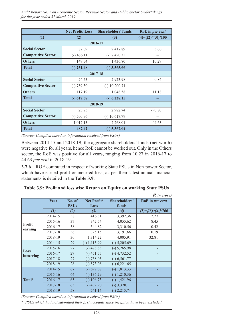|                           | <b>Net Profit/Loss</b> | <b>Shareholders' funds</b> | RoE in per cent       |  |  |  |  |  |
|---------------------------|------------------------|----------------------------|-----------------------|--|--|--|--|--|
| (1)                       | (2)                    | (3)                        | $(4)=\{(2)*(3)\}/100$ |  |  |  |  |  |
| 2016-17                   |                        |                            |                       |  |  |  |  |  |
| <b>Social Sector</b>      | 87.09                  | 2,417.89                   | 3.60                  |  |  |  |  |  |
| <b>Competitive Sector</b> | $(-)$ 486.11           | $(-) 7,420.35$             |                       |  |  |  |  |  |
| <b>Others</b>             | 147.54                 | 1,436.80                   | 10.27                 |  |  |  |  |  |
| <b>Total</b>              | $(-)$ 251.48           | $(-)$ 3,565.66             |                       |  |  |  |  |  |
|                           |                        | 2017-18                    |                       |  |  |  |  |  |
| <b>Social Sector</b>      | 24.53                  | 2,923.98                   | 0.84                  |  |  |  |  |  |
| <b>Competitive Sector</b> | $(-) 759.30$           | $(-) 10,200.71$            |                       |  |  |  |  |  |
| <b>Others</b>             | 117.19                 | 1,048.58                   | 11.18                 |  |  |  |  |  |
| <b>Total</b>              | $(-)$ 617.58           | $(-)$ 6,228.15             |                       |  |  |  |  |  |
|                           |                        | 2018-19                    |                       |  |  |  |  |  |
| <b>Social Sector</b>      | 23.75                  | 2,982.74                   | $(-) 0.80$            |  |  |  |  |  |
| <b>Competitive Sector</b> | $(-)$ 500.96           | $(-) 10,617.79$            |                       |  |  |  |  |  |
| <b>Others</b>             | 1,012.13               | 2,268.01                   | 44.63                 |  |  |  |  |  |
| <b>Total</b>              | 487.42                 | $(-)$ 5,367.04             |                       |  |  |  |  |  |

*(Source: Compiled based on information received from PSUs)*

Between 2014-15 and 2018-19, the aggregate shareholders' funds (net worth) were negative for all years, hence RoE cannot be worked out. Only in the Others sector, the RoE was positive for all years, ranging from 10.27 in 2016-17 to 44.63 *per cent* in 2018-19.

**3.7.6** ROE computed in respect of working State PSUs in Non-power Sector, which have earned profit or incurred loss, as per their latest annual financial statements is detailed in the **Table 3.9**:

|                          |         |                       |                     |                               | $(3 \nvert n \text{ error})$ |
|--------------------------|---------|-----------------------|---------------------|-------------------------------|------------------------------|
|                          | Year    | No. of<br><b>PSUs</b> | Net Profit/<br>Loss | <b>Shareholders'</b><br>funds | RoE in per cent              |
|                          | (1)     | (2)                   | (3)                 | $\left(4\right)$              | $(5)=({3})*(4)/100$          |
|                          | 2014-15 | 38                    | 416.31              | 3,392.36                      | 12.27                        |
|                          | 2015-16 | 37                    | 342.54              | 4,055.62                      | 8.45                         |
| <b>Profit</b><br>earning | 2016-17 | 38                    | 344.82              | 3,310.56                      | 10.42                        |
|                          | 2017-18 | 36                    | 325.15              | 3,191.66                      | 10.19                        |
|                          | 2018-19 | 30                    | 1,314.22            | 4,005.91                      | 32.81                        |
|                          | 2014-15 | 29                    | $(-) 1, 113.99$     | $(-) 5,205.69$                |                              |
| Loss                     | 2015-16 | 27                    | $(-)$ 478.83        | $(-) 5,265.98$                |                              |
| incurring                | 2016-17 | 27                    | $(-)$ 451.55        | $(-)$ 4,732.52                |                              |
|                          | 2017-18 | 27                    | $(-) 758.05$        | $(-)$ 6,561.77                |                              |
|                          | 2018-19 | 28                    | $(-) 573.08$        | $(-) 6,221.65$                |                              |
|                          | 2014-15 | 67                    | $(-) 697.68$        | $(-) 1,813.33$                |                              |
|                          | 2015-16 | 64                    | $(-)$ 136.29        | $(-) 1,210.36$                |                              |
| Total*                   | 2016-17 | 65                    | $(-)$ 106.73        | $(-) 1,421.96$                |                              |
|                          | 2017-18 | 63                    | $(-)$ 432.90        | $(-)$ 3,370.11                |                              |
|                          | 2018-19 | 58                    | 741.14              | $(-)$ 2,215.74                |                              |

**Table 3.9: Profit and loss wise Return on Equity on working State PSUs**

*(Source: Compiled based on information received from PSUs)*

\* *PSUs which had not submitted their first accounts since inception have been excluded.*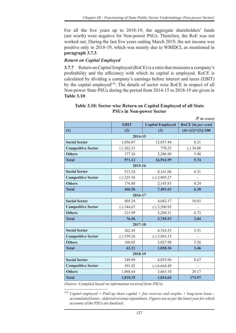For all the five years up to 2018-19, the aggregate shareholders' funds (net worth) were negative for Non-power PSUs. Therefore, the RoE was not worked out. During the last five years ending March 2019, the net income was positive only in 2018-19, which was mainly due to WBIDCL as mentioned in **paragraph 3.7.3**.

## *Return on Capital Employed*

**3.7.7** Return on Capital Employed (RoCE) is a ratio that measures a company's profitability and the efficiency with which its capital is employed. RoCE is calculated by dividing a company's earnings before interest and taxes (EBIT) by the capital employed<sup>179</sup>. The details of sector wise RoCE in respect of all Non-power State PSUs during the period from 2014-15 to 2018-19 are given in **Table 3.10**:

| $(3 \nvert n \text{ error})$ |              |                         |                       |  |  |  |  |  |  |
|------------------------------|--------------|-------------------------|-----------------------|--|--|--|--|--|--|
|                              | <b>EBIT</b>  | <b>Capital Employed</b> | RoCE (in per cent)    |  |  |  |  |  |  |
| (1)                          | (2)          | (3)                     | $(4)=\{(2)*(3)\}/100$ |  |  |  |  |  |  |
|                              | 2014-15      |                         |                       |  |  |  |  |  |  |
| <b>Social Sector</b>         | 1,056.07     | 12,857.44               | 8.21                  |  |  |  |  |  |  |
| <b>Competitive Sector</b>    | $(-)$ 262.31 | 770.25                  | $(-)$ 34.06           |  |  |  |  |  |  |
| <b>Others</b>                | 177.36       | 3,286.90                | 5.40                  |  |  |  |  |  |  |
| <b>Total</b>                 | 971.12       | 16,914.59               | 5.74                  |  |  |  |  |  |  |
|                              | 2015-16      |                         |                       |  |  |  |  |  |  |
| <b>Social Sector</b>         | 515.24       | 8,161.06                | 6.31                  |  |  |  |  |  |  |
| <b>Competitive Sector</b>    | $(-)$ 225.56 | $(-)$ 2,905.27          |                       |  |  |  |  |  |  |
| <b>Others</b>                | 176.88       | 2,145.83                | 8.24                  |  |  |  |  |  |  |
| <b>Total</b>                 | 466.56       | 7,401.62                | 6.30                  |  |  |  |  |  |  |
|                              | 2016-17      |                         |                       |  |  |  |  |  |  |
| <b>Social Sector</b>         | 405.24       | 4,042.17                | 10.03                 |  |  |  |  |  |  |
| <b>Competitive Sector</b>    | $(-) 544.67$ | $(-)$ 3,500.95          |                       |  |  |  |  |  |  |
| <b>Others</b>                | 215.99       | 3,208.31                | 6.73                  |  |  |  |  |  |  |
| <b>Total</b>                 | 76.56        | 3,749.53                | 2.04                  |  |  |  |  |  |  |
|                              | 2017-18      |                         |                       |  |  |  |  |  |  |
| <b>Social Sector</b>         | 262.45       | 4,763.53                | 5.51                  |  |  |  |  |  |  |
| <b>Competitive Sector</b>    | $(-)$ 359.26 | $(-) 5,963.15$          |                       |  |  |  |  |  |  |
| <b>Others</b>                | 160.02       | 3,027.98                | 5.28                  |  |  |  |  |  |  |
| <b>Total</b>                 | 63.21        | 1,828.36                | 3.46                  |  |  |  |  |  |  |
|                              | 2018-19      |                         |                       |  |  |  |  |  |  |
| <b>Social Sector</b>         | 349.89       | 4,035.96                | 8.67                  |  |  |  |  |  |  |
| <b>Competitive Sector</b>    | 391.82       | $(-) 6,664.49$          |                       |  |  |  |  |  |  |
| <b>Others</b>                | 1,068.64     | 3,663.18                | 29.17                 |  |  |  |  |  |  |
| <b>Total</b>                 | 1,810.35     | 1,034.65                | 174.97                |  |  |  |  |  |  |

## **Table 3.10: Sector wise Return on Capital Employed of all State PSUs in Non-power Sector**

*(Source: Compiled based on information received from PSUs)*

<sup>179</sup> *Capital employed = Paid up share capital + free reserves and surplus + long-term loans accumulated losses - deferred revenue expenditure. Figures are as per the latest year for which accounts of the PSUs are finalised.*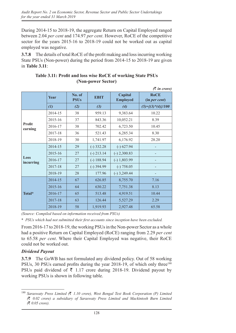During 2014-15 to 2018-19, the aggregate Return on Capital Employed ranged between 2.04 *per cent* and 174.97 *per cent*. However, RoCE of the competitive sector for the years 2015-16 to 2018-19 could not be worked out as capital employed was negative.

**3.7.8** The details of total RoCE of the profit making and loss incurring working State PSUs (Non-power) during the period from 2014-15 to 2018-19 are given in **Table 3.11**:

|                          |             |                       |              |                            | $(3 \nvert n \text{ error})$ |
|--------------------------|-------------|-----------------------|--------------|----------------------------|------------------------------|
|                          | <b>Year</b> | No. of<br><b>PSUs</b> | <b>EBIT</b>  | Capital<br><b>Employed</b> | <b>RoCE</b><br>(in per cent) |
|                          | (1)         | (2)                   | $(3)$        | (4)                        | $(5)=\{(3)*}(4)/100$         |
|                          | 2014-15     | 38                    | 959.13       | 9,383.64                   | 10.22                        |
|                          | 2015-16     | 37                    | 843.36       | 10,052.21                  | 8.39                         |
| <b>Profit</b><br>earning | 2016-17     | 38                    | 702.42       | 6,723.50                   | 10.45                        |
|                          | 2017-18     | 36                    | 521.43       | 6,285.34                   | 8.30                         |
|                          | 2018-19     | 30                    | 1,741.97     | 6,176.92                   | 28.20                        |
|                          | 2014-15     | 29                    | $(-)$ 332.28 | $(-) 627.94$               |                              |
|                          | 2015-16     | 27                    | $(-)$ 213.14 | $(-)$ 2,300.83             |                              |
| Loss<br>incurring        | 2016-17     | 27                    | $(-) 188.94$ | $(-) 1,803.99$             |                              |
|                          | 2017-18     | 27                    | $(-)$ 394.99 | $(-) 758.05$               |                              |
|                          | 2018-19     | 28                    | 177.96       | $(-)$ 3,249.44             |                              |
|                          | 2014-15     | 67                    | 626.85       | 8,755.70                   | 7.16                         |
| Total*                   | 2015-16     | 64                    | 630.22       | 7,751.38                   | 8.13                         |
|                          | 2016-17     | 65                    | 513.48       | 4,919.51                   | 10.44                        |
|                          | 2017-18     | 63                    | 126.44       | 5,527.29                   | 2.29                         |
|                          | 2018-19     | 58                    | 1,919.93     | 2,927.48                   | 65.58                        |

## **Table 3.11: Profit and loss wise RoCE of working State PSUs (Non-power Sector)**

*(Source: Compiled based on information received from PSUs)*

\* *PSUs which had not submitted their first accounts since inception have been excluded.*

From 2016-17 to 2018-19, the working PSUs in the Non-power Sector as a whole had a positive Return on Capital Employed (RoCE) ranging from 2.29 *per cent* to 65.58 *per cent*. Where their Capital Employed was negative, their RoCE could not be worked out.

## *Dividend Payout*

**3.7.9** The GoWB has not formulated any dividend policy. Out of 58 working PSUs, 30 PSUs earned profits during the year 2018-19, of which only three<sup>180</sup> PSUs paid dividend of  $\bar{\tau}$  1.17 crore during 2018-19. Dividend payout by working PSUs is shown in following table.

<sup>180</sup> *Saraswaty Press Limited (*` *1.10 crore), West Bengal Text Book Corporation (P) Limited (*` *0.02 crore) a subsidiary of Saraswaty Press Limited and Mackintosh Burn Limited (*` *0.05 crore).*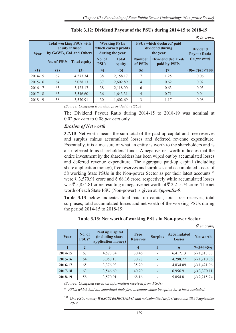| Year    | <b>Total working PSUs with</b><br>equity infused |                     | <b>Working PSUs</b><br>which earned profits<br>by GoWB, GoI and Others<br>during the year |                        |                                      | PSUs which declared/paid<br>dividend during<br>the year | <b>Dividend</b><br><b>Payout Ratio</b> |  |
|---------|--------------------------------------------------|---------------------|-------------------------------------------------------------------------------------------|------------------------|--------------------------------------|---------------------------------------------------------|----------------------------------------|--|
|         | No. of $PSUs$                                    | <b>Total equity</b> | No. of<br><b>PSUs</b>                                                                     | <b>Total</b><br>equity | <b>Number</b><br>of PSU <sub>s</sub> | Dividend declared/<br>paid by PSUs                      | (in per cent)                          |  |
| (1)     | (2)                                              | (3)                 | (4)                                                                                       | (5)                    | (6)                                  | (7)                                                     | $(8)=(7)/(5)*100$                      |  |
| 2014-15 | 67                                               | 4,573.34            | 38                                                                                        | 2,158.17               |                                      | 1.25                                                    | 0.06                                   |  |
| 2015-16 | 64                                               | 3,058.13            | 37                                                                                        | 2,602.89               | $\overline{4}$                       | 0.62                                                    | 0.02                                   |  |
| 2016-17 | 65                                               | 3,423.17            | 38                                                                                        | 2,118.00               | 6                                    | 0.63                                                    | 0.03                                   |  |
| 2017-18 | 63                                               | 3,546.60            | 36                                                                                        | 1,643.31               | $\overline{4}$                       | 0.71                                                    | 0.04                                   |  |
| 2018-19 | 58                                               | 3,570.91            | 30                                                                                        | 1,602.69               | 3                                    | 1.17                                                    | 0.08                                   |  |

*(*` *in crore)*

*(Source: Compiled from data provided by PSUs)*

The Dividend Payout Ratio during 2014-15 to 2018-19 was nominal at 0.02 *per cent* to 0.08 *per cent* only.

## *Erosion of Net worth*

**3.7.10** Net worth means the sum total of the paid-up capital and free reserves and surplus minus accumulated losses and deferred revenue expenditure. Essentially, it is a measure of what an entity is worth to the shareholders and is also referred to as shareholders' funds. A negative net worth indicates that the entire investment by the shareholders has been wiped out by accumulated losses and deferred revenue expenditure. The aggregate paid-up capital (including share application money), free reserves and surpluses and accumulated losses of 58 working State PSUs in the Non-power Sector as per their latest accounts<sup>181</sup> were  $\bar{\xi}$  3,570.91 crore and  $\bar{\xi}$  68.16 crore, respectively while accumulated losses was  $\bar{\xi}$  5,854.81 crore resulting in negative net worth of  $\bar{\xi}$  2,215.74 crore. The net worth of each State PSU (Non-power) is given at *Appendix-9*.

**Table 3.13** below indicates total paid up capital, total free reserves, total surpluses, total accumulated losses and net worth of the working PSUs during the period 2014-15 to 2018-19:

|         |                 |                                                            |                                |                |                                     | $(3 \nvert n \text{ error})$ |
|---------|-----------------|------------------------------------------------------------|--------------------------------|----------------|-------------------------------------|------------------------------|
| Year    | No. of<br>PSUs* | Paid up Capital<br>(including share)<br>application money) | <b>Free</b><br><b>Reserves</b> | <b>Surplus</b> | <b>Accumulated</b><br><b>Losses</b> | Net worth                    |
|         | $\overline{2}$  |                                                            | 4                              | 5              | 6                                   | $7=3+4+5-6$                  |
| 2014-15 | 67              | 4,573.34                                                   | 30.46                          |                | 6,417.13                            | $(-) 1,813.33$               |
| 2015-16 | 64              | 3,058.13                                                   | 30.28                          |                | 4,298.77                            | $(-) 1,210.36$               |
| 2016-17 | 65              | 3,376.93                                                   | 35.20                          |                | 4,834.09                            | $(-)$ 1,421.96               |
| 2017-18 | 63              | 3,546.60                                                   | 40.20                          |                | 6,956.91                            | $(-)$ 3,370.11               |
| 2018-19 | 58              | 3,570.91                                                   | 68.16                          |                | 5,854.81                            | $(-)$ 2,215.74               |

#### **Table 3.13: Net worth of working PSUs in Non-power Sector**

*(Source: Compiled based on information received from PSUs)*

\* *PSUs which had not submitted their first accounts since inception have been excluded.*

<sup>181</sup> *One PSU, namely WBSCST&OBCD&FC, had not submitted its first accounts till 30 September 2019.*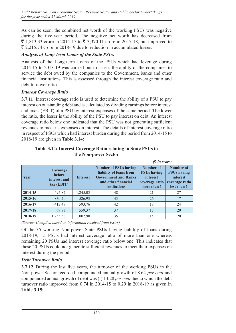As can be seen, the combined net worth of the working PSUs was negative during the five-year period. The negative net worth has decreased from  $\bar{\xi}$  1,813.33 crore in 2014-15 to  $\bar{\xi}$  3,370.11 crore in 2017-18, but improved to  $\bar{\xi}$  2,215.74 crore in 2018-19 due to reduction in accumulated losses.

## *Analysis of Long-term Loans of the State PSUs*

Analysis of the Long-term Loans of the PSUs which had leverage during 2014-15 to 2018-19 was carried out to assess the ability of the companies to service the debt owed by the companies to the Government, banks and other financial institutions. This is assessed through the interest coverage ratio and debt turnover ratio.

### *Interest Coverage Ratio*

**3.7.11** Interest coverage ratio is used to determine the ability of a PSU to pay interest on outstanding debt and is calculated by dividing earnings before interest and taxes (EBIT) of a PSU by interest expenses of the same period. The lower the ratio, the lesser is the ability of the PSU to pay interest on debt. An interest coverage ratio below one indicated that the PSU was not generating sufficient revenues to meet its expenses on interest. The details of interest coverage ratio in respect of PSUs which had interest burden during the period from 2014-15 to 2018-19 are given in **Table 3.14:**

| $(3 \nvert n \text{ error})$ |                                                                  |                 |                                                                                                                                      |                                                                                     |                                                                              |  |  |  |
|------------------------------|------------------------------------------------------------------|-----------------|--------------------------------------------------------------------------------------------------------------------------------------|-------------------------------------------------------------------------------------|------------------------------------------------------------------------------|--|--|--|
| <b>Year</b>                  | <b>Earnings</b><br><b>before</b><br>interest and<br>$tax$ (EBIT) | <b>Interest</b> | <b>Number of PSUs having</b><br>liability of loans from<br><b>Government and Banks</b><br>and other financial<br><b>institutions</b> | Number of<br><b>PSUs having</b><br><i>interest</i><br>coverage ratio<br>more than 1 | Number of<br><b>PSUs having</b><br>interest<br>coverage ratio<br>less than 1 |  |  |  |
| 2014-15                      | 495.82                                                           | 1,245.03        | 48                                                                                                                                   | 21                                                                                  | 27                                                                           |  |  |  |
| 2015-16                      | 830.20                                                           | 526.93          | 43                                                                                                                                   | 26                                                                                  | 17                                                                           |  |  |  |
| 2016-17                      | 413.47                                                           | 593.76          | 42                                                                                                                                   | 18                                                                                  | 24                                                                           |  |  |  |
| 2017-18                      | 67.73                                                            | 559.37          | 37                                                                                                                                   | 17                                                                                  | 20                                                                           |  |  |  |
| 2018-19                      | 1,755.56                                                         | 1,002.90        | 35                                                                                                                                   | 15                                                                                  | 20                                                                           |  |  |  |

**Table 3.14: Interest Coverage Ratio relating to State PSUs in the Non-power Sector**

*(Source: Compiled based on information received from PSUs)*

Of the 35 working Non-power State PSUs having liability of loans during 2018-19, 15 PSUs had interest coverage ratio of more than one whereas remaining 20 PSUs had interest coverage ratio below one. This indicates that these 20 PSUs could not generate sufficient revenues to meet their expenses on interest during the period.

## *Debt Turnover Ratio*

**3.7.12** During the last five years, the turnover of the working PSUs in the Non-power Sector recorded compounded annual growth of 8.64 *per cent* and compounded annual growth of debt was (-) 14.28 *per cent* due to which the debt turnover ratio improved from 0.74 in 2014-15 to 0.29 in 2018-19 as given in **Table 3.15**: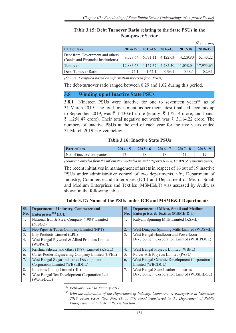#### **Table 3.15: Debt Turnover Ratio relating to the State PSUs in the Non-power Sector**

|                                                                       |           |          |                       |           | $(3 \nvert n \text{ error})$ |
|-----------------------------------------------------------------------|-----------|----------|-----------------------|-----------|------------------------------|
| <b>Particulars</b>                                                    | 2014-15   | 2015-16  | 2016-17               | 2017-18   | 2018-19                      |
| Debt from Government and others<br>(Banks and Financial Institutions) | 9,528.64  |          | $6,731.11$   4,122.03 | 4,229.80  | 5,143.22                     |
| Turnover                                                              | 12,883.63 | 4,167.37 | 4,285.30              | 11,058.04 | 17,953.65                    |
| Debt-Turnover Ratio                                                   | 0.74:1    | 1.62:1   | 0.96:1                | 0.38:1    | 0.29:1                       |

*(Source: Compiled based on information received from PSUs)*

The debt-turnover ratio ranged between 0.29 and 1.62 during this period.

### **3.8 Winding up of Inactive State PSUs**

**3.8.1** Nineteen PSUs were inactive for one to seventeen vears<sup>182</sup> as of 31 March 2019. The total investment, as per their latest finalised accounts up to September 2019, was  $\bar{\tau}$  1,430.61 crore (equity:  $\bar{\tau}$  172.14 crore, and loans:  $\bar{\xi}$  1,258.47 crore). Their total negative net worth was  $\bar{\xi}$  3,114.22 crore. The numbers of inactive PSUs at the end of each year for the five years ended 31 March 2019 is given below:

#### **Table 3.16: Inactive State PSUs**

| <b>Particulars</b>        | $2014 - 15$ | $2015-16$   2016-17 | $2017 - 18$ | 2018-19 |
|---------------------------|-------------|---------------------|-------------|---------|
| No. of inactive companies |             |                     |             |         |

*(Source: Compiled from the information included in Audit Reports (PSU), GoWB of respective years)*

The recent initiatives in management of assets in respect of 16 out of 19 inactive PSUs under administrative control of two departments, *viz.*, Department of Industry, Commerce and Enterprises (ICE) and Department of Micro, Small and Medium Enterprises and Textiles (MSME&T) was assessed by Audit, as shown in the following table-

| Sl.            | Department of Industry, Commerce and                      | SI.              | <b>Department of Micro, Small and Medium</b> |
|----------------|-----------------------------------------------------------|------------------|----------------------------------------------|
| No.            | Enterprises $183$ (ICE)                                   | No.              | Enterprises & Textiles (MSME & T)            |
| $\mathbf{1}$ . | National Iron & Steel Company (1984) Limited<br>(NISCO)   | 1.               | Kalyani Spinning Mills Limited (KSML)        |
| 2.             | Neo Pipes & Tubes Company Limited (NPT)                   | 2.               | West Dinajpur Spinning Mills Limited (WDSML) |
| 3.             | Lily Products Limited (LPL)                               | 3.               | West Bengal Handloom and Powerloom           |
| 4.             | West Bengal Plywood & Allied Products Limited<br>(WBPAPL) |                  | Development Corporation Limited (WBHPDCL)    |
| 5.             | Krishna Silicate and Glass (1987) Limited (KSGL)          | $\overline{4}$ . | West Bengal Projects Limited (WBPL)          |
| 6.             | Carter Pooler Engineering Company Limited (CPEL)          | 5.               | Pulver-Ash Projects Limited (PAPL)           |
| 7.             | West Bengal Sugar Industries Development                  | 6,               | West Bengal Ceramic Development Corporation  |
|                | Corporation Limited (WBSuIDCL)                            |                  | Limited (WBCDCL)                             |
| 8.             | Infusions (India) Limited (IIL)                           | 7.               | West Bengal State Leather Industries         |
| 9.             | West Bengal Tea Development Corporation Ltd<br>(WBTeDCL)  |                  | Development Corporation Limited (WBSLIDCL)   |

<sup>182</sup> *February 2002 to January 2017.*

<sup>183</sup> *With the bifurcation of the Department of Industry, Commerce & Enterprises in November 2019, seven PSUs {Srl. Nos. (1) to (7)} stood transferred to the Department of Public Enterprises and Industrial Reconstruction.*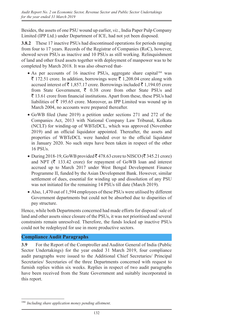Besides, the assets of one PSU wound up earlier, *viz.*, India Paper Pulp Company Limited (IPP Ltd.) under Department of ICE, had not yet been disposed.

**3.8.2** These 17 inactive PSUs had discontinued operations for periods ranging from four to 17 years. Records of the Registrar of Companies (RoC), however, showed seven PSUs as inactive and 10 PSUs as still working. Relinquishment of land and other fixed assets together with deployment of manpower was to be completed by March 2018. It was also observed that-

- As per accounts of 16 inactive PSUs, aggregate share capital<sup>184</sup> was  $\bar{\tau}$  172.51 crore. In addition, borrowings were  $\bar{\tau}$  1,208.04 crore along with accrued interest of  $\bar{\tau}$  1,857.17 crore. Borrowings included  $\bar{\tau}$  1,194.05 crore from State Government,  $\bar{\tau}$  0.38 crore from other State PSUs and  $\bar{\mathcal{F}}$  13.61 crore from financial institutions. Apart from these, these PSUs had liabilities of  $\bar{\tau}$  195.65 crore. Moreover, as IPP Limited was wound up in March 2004, no accounts were prepared thereafter.
- GoWB filed (June 2019) a petition under sections 271 and 272 of the Companies Act, 2013 with National Company Law Tribunal, Kolkata (NCLT) for winding-up of WBTeDCL, which was approved (November 2019) and an official liquidator appointed. Thereafter, the assets and properties of WBTeDCL were handed over to the official liquidator in January 2020. No such steps have been taken in respect of the other 16 PSUs.
- During 2018-19, GoWB provided  $\bar{\mathcal{R}}$  478.63 crore to NISCO ( $\bar{\mathcal{R}}$  345.21 crore) and NPT ( $\bar{\tau}$  133.42 crore) for repayment of GoWB loan and interest accrued up to March 2017 under West Bengal Development Finance Programme II, funded by the Asian Development Bank. However, similar settlement of dues, essential for winding up and dissolution of any PSU was not initiated for the remaining 14 PSUs till date (March 2019).
- Also, 1,470 out of 1,594 employees of these PSUs were utilised by different Government departments but could not be absorbed due to disparities of pay structure.

Hence, while both Departments concerned had made efforts for disposal/ sale of land and other assets since closure of the PSUs, it was not prioritised and several constraints remain unresolved. Therefore, the funds locked up inactive PSUs could not be redeployed for use in more productive sectors.

# **Compliance Audit Paragraphs**

**3.9** For the Report of the Comptroller and Auditor General of India (Public Sector Undertakings) for the year ended 31 March 2019, four compliance audit paragraphs were issued to the Additional Chief Secretaries/ Principal Secretaries/ Secretaries of the three Departments concerned with request to furnish replies within six weeks. Replies in respect of two audit paragraphs have been received from the State Government and suitably incorporated in this report.

<sup>184</sup> *Including share application money pending allotment*.